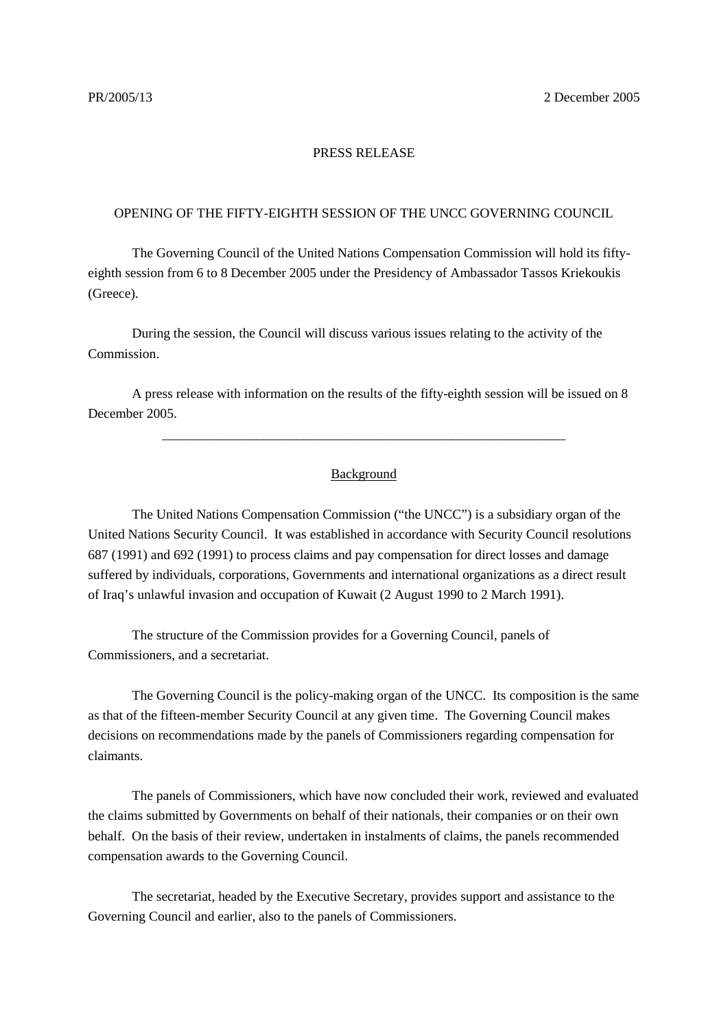## PRESS RELEASE

## OPENING OF THE FIFTY-EIGHTH SESSION OF THE UNCC GOVERNING COUNCIL

The Governing Council of the United Nations Compensation Commission will hold its fiftyeighth session from 6 to 8 December 2005 under the Presidency of Ambassador Tassos Kriekoukis (Greece).

During the session, the Council will discuss various issues relating to the activity of the Commission.

A press release with information on the results of the fifty-eighth session will be issued on 8 December 2005.

## Background

\_\_\_\_\_\_\_\_\_\_\_\_\_\_\_\_\_\_\_\_\_\_\_\_\_\_\_\_\_\_\_\_\_\_\_\_\_\_\_\_\_\_\_\_\_\_\_\_\_\_\_\_\_\_\_\_\_\_\_\_

The United Nations Compensation Commission ("the UNCC") is a subsidiary organ of the United Nations Security Council. It was established in accordance with Security Council resolutions 687 (1991) and 692 (1991) to process claims and pay compensation for direct losses and damage suffered by individuals, corporations, Governments and international organizations as a direct result of Iraq's unlawful invasion and occupation of Kuwait (2 August 1990 to 2 March 1991).

The structure of the Commission provides for a Governing Council, panels of Commissioners, and a secretariat.

The Governing Council is the policy-making organ of the UNCC. Its composition is the same as that of the fifteen-member Security Council at any given time. The Governing Council makes decisions on recommendations made by the panels of Commissioners regarding compensation for claimants.

The panels of Commissioners, which have now concluded their work, reviewed and evaluated the claims submitted by Governments on behalf of their nationals, their companies or on their own behalf. On the basis of their review, undertaken in instalments of claims, the panels recommended compensation awards to the Governing Council.

The secretariat, headed by the Executive Secretary, provides support and assistance to the Governing Council and earlier, also to the panels of Commissioners.